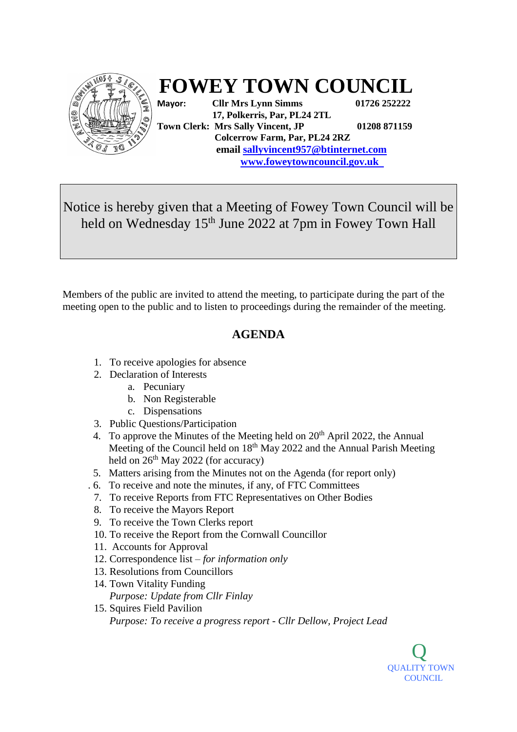

## **FOWEY TOWN COUNCIL**

**Mayor: Cllr Mrs Lynn Simms 01726 252222 17, Polkerris, Par, PL24 2TL Town Clerk: Mrs Sally Vincent, JP 01208 871159 Colcerrow Farm, Par, PL24 2RZ email sallyvincent957@btinternet.com [www.foweyt](http://www.fowey/)owncouncil.gov.uk** 

Notice is hereby given that a Meeting of Fowey Town Council will be held on Wednesday 15<sup>th</sup> June 2022 at 7pm in Fowey Town Hall

Members of the public are invited to attend the meeting, to participate during the part of the meeting open to the public and to listen to proceedings during the remainder of the meeting.

## **AGENDA**

- 1. To receive apologies for absence
- 2. Declaration of Interests
	- a. Pecuniary
	- b. Non Registerable
	- c. Dispensations
- 3. Public Questions/Participation
- 4. To approve the Minutes of the Meeting held on  $20<sup>th</sup>$  April 2022, the Annual Meeting of the Council held on  $18<sup>th</sup>$  May 2022 and the Annual Parish Meeting held on  $26<sup>th</sup>$  May 2022 (for accuracy)
- 5. Matters arising from the Minutes not on the Agenda (for report only)
- . 6. To receive and note the minutes, if any, of FTC Committees
- 7. To receive Reports from FTC Representatives on Other Bodies
- 8. To receive the Mayors Report
- 9. To receive the Town Clerks report
- 10. To receive the Report from the Cornwall Councillor
- 11. Accounts for Approval
- 12. Correspondence list *for information only*
- 13. Resolutions from Councillors
- 14. Town Vitality Funding *Purpose: Update from Cllr Finlay*
- 15. Squires Field Pavilion *Purpose: To receive a progress report - Cllr Dellow, Project Lead*